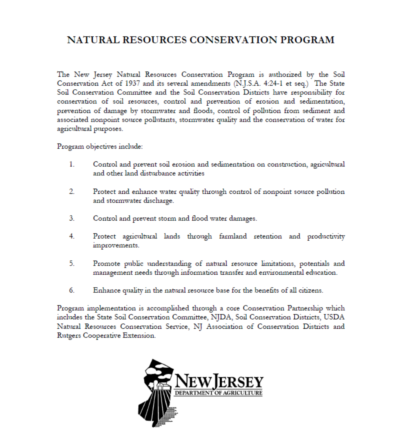## **NATURAL RESOURCES CONSERVATION PROGRAM**

The New Jersey Natural Resources Conservation Program is authorized by the Soil Conservation Act of 1937 and its several amendments (N.J.S.A. 4:24-1 et seq.) The State Soil Conservation Committee and the Soil Conservation Districts have responsibility for conservation of soil resources, control and prevention of erosion and sedimentation, prevention of damage by stormwater and floods, control of pollution from sediment and associated nonpoint source pollutants, stormwater quality and the conservation of water for agricultural purposes.

Program objectives include:

- $1_{-}$ Control and prevent soil erosion and sedimentation on construction, agricultural and other land disturbance activities
- $\overline{2}$ . Protect and enhance water quality through control of nonpoint source pollution and stormwater discharge.
- 3. Control and prevent storm and flood water damages.
- 4 Protect agricultural lands through farmland retention and productivity improvements.
- 5. Promote public understanding of natural resource limitations, potentials and management needs through information transfer and environmental education.
- 6 Enhance quality in the natural resource base for the benefits of all citizens.

Program implementation is accomplished through a core Conservation Partnership which includes the State Soil Conservation Committee, NJDA, Soil Conservation Districts, USDA Natural Resources Conservation Service, NJ Association of Conservation Districts and Rutgers Cooperative Extension.